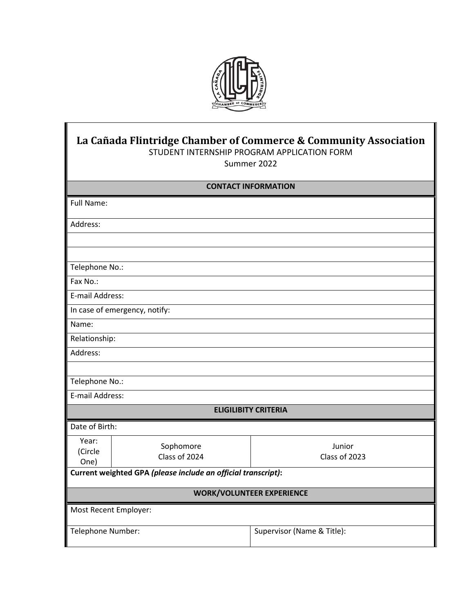

# **La Cañada Flintridge Chamber of Commerce & Community Association** STUDENT INTERNSHIP PROGRAM APPLICATION FORM

Summer 2022

## **CONTACT INFORMATION**

| Address:                                                      |  |  |  |
|---------------------------------------------------------------|--|--|--|
|                                                               |  |  |  |
|                                                               |  |  |  |
| Telephone No.:                                                |  |  |  |
| Fax No.:                                                      |  |  |  |
| E-mail Address:                                               |  |  |  |
| In case of emergency, notify:                                 |  |  |  |
| Name:                                                         |  |  |  |
| Relationship:                                                 |  |  |  |
| Address:                                                      |  |  |  |
|                                                               |  |  |  |
| Telephone No.:                                                |  |  |  |
| E-mail Address:                                               |  |  |  |
| <b>ELIGILIBITY CRITERIA</b>                                   |  |  |  |
|                                                               |  |  |  |
| Junior<br>Class of 2023                                       |  |  |  |
| Current weighted GPA (please include an official transcript): |  |  |  |
| <b>WORK/VOLUNTEER EXPERIENCE</b>                              |  |  |  |
| Most Recent Employer:                                         |  |  |  |
| Supervisor (Name & Title):                                    |  |  |  |
|                                                               |  |  |  |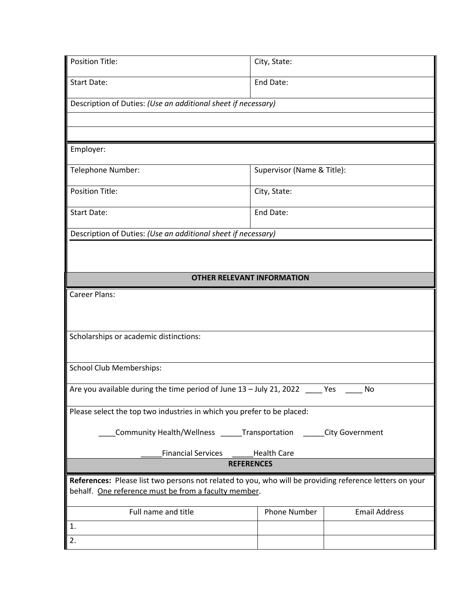| <b>Position Title:</b>                                                                                                                                          | City, State:               |                      |  |
|-----------------------------------------------------------------------------------------------------------------------------------------------------------------|----------------------------|----------------------|--|
| <b>Start Date:</b>                                                                                                                                              | End Date:                  |                      |  |
| Description of Duties: (Use an additional sheet if necessary)                                                                                                   |                            |                      |  |
|                                                                                                                                                                 |                            |                      |  |
|                                                                                                                                                                 |                            |                      |  |
| Employer:                                                                                                                                                       |                            |                      |  |
| Telephone Number:                                                                                                                                               | Supervisor (Name & Title): |                      |  |
| <b>Position Title:</b>                                                                                                                                          | City, State:               |                      |  |
| <b>Start Date:</b>                                                                                                                                              | End Date:                  |                      |  |
| Description of Duties: (Use an additional sheet if necessary)                                                                                                   |                            |                      |  |
|                                                                                                                                                                 |                            |                      |  |
|                                                                                                                                                                 |                            |                      |  |
| <b>OTHER RELEVANT INFORMATION</b>                                                                                                                               |                            |                      |  |
| <b>Career Plans:</b>                                                                                                                                            |                            |                      |  |
|                                                                                                                                                                 |                            |                      |  |
| Scholarships or academic distinctions:                                                                                                                          |                            |                      |  |
|                                                                                                                                                                 |                            |                      |  |
| <b>School Club Memberships:</b>                                                                                                                                 |                            |                      |  |
| Are you available during the time period of June 13 - July 21, 2022 _____ Yes<br>No                                                                             |                            |                      |  |
| Please select the top two industries in which you prefer to be placed:                                                                                          |                            |                      |  |
|                                                                                                                                                                 |                            |                      |  |
| Community Health/Wellness<br><b>Transportation</b><br>City Government                                                                                           |                            |                      |  |
| <b>Financial Services</b><br><b>Health Care</b>                                                                                                                 |                            |                      |  |
| <b>REFERENCES</b>                                                                                                                                               |                            |                      |  |
| References: Please list two persons not related to you, who will be providing reference letters on your<br>behalf. One reference must be from a faculty member. |                            |                      |  |
|                                                                                                                                                                 |                            |                      |  |
| Full name and title                                                                                                                                             | <b>Phone Number</b>        | <b>Email Address</b> |  |
| $\mathbf{1}$ .                                                                                                                                                  |                            |                      |  |
| 2.                                                                                                                                                              |                            |                      |  |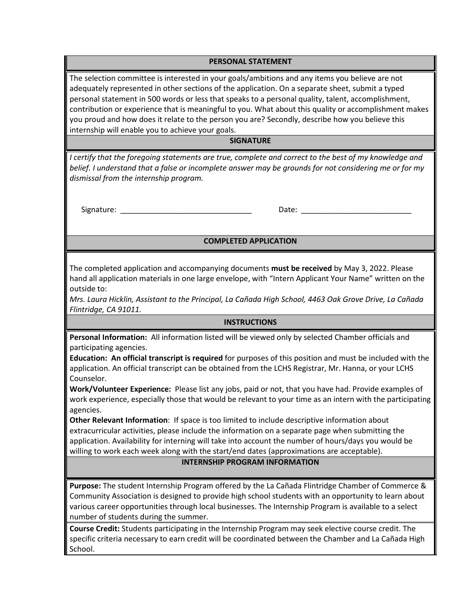#### **PERSONAL STATEMENT**

The selection committee is interested in your goals/ambitions and any items you believe are not adequately represented in other sections of the application. On a separate sheet, submit a typed personal statement in 500 words or less that speaks to a personal quality, talent, accomplishment, contribution or experience that is meaningful to you. What about this quality or accomplishment makes you proud and how does it relate to the person you are? Secondly, describe how you believe this internship will enable you to achieve your goals.

#### **SIGNATURE**

*I certify that the foregoing statements are true, complete and correct to the best of my knowledge and belief. I understand that a false or incomplete answer may be grounds for not considering me or for my dismissal from the internship program.*

Signature: \_\_\_\_\_\_\_\_\_\_\_\_\_\_\_\_\_\_\_\_\_\_\_\_\_\_\_\_\_\_\_ Date: \_\_\_\_\_\_\_\_\_\_\_\_\_\_\_\_\_\_\_\_\_\_\_\_\_\_

### **COMPLETED APPLICATION**

The completed application and accompanying documents **must be received** by May 3, 2022. Please hand all application materials in one large envelope, with "Intern Applicant Your Name" written on the outside to:

*Mrs. Laura Hicklin, Assistant to the Principal, La Cañada High School, 4463 Oak Grove Drive, La Cañada Flintridge, CA 91011.*

#### **INSTRUCTIONS**

**Personal Information:** All information listed will be viewed only by selected Chamber officials and participating agencies.

**Education: An official transcript is required** for purposes of this position and must be included with the application. An official transcript can be obtained from the LCHS Registrar, Mr. Hanna, or your LCHS Counselor.

**Work/Volunteer Experience:** Please list any jobs, paid or not, that you have had. Provide examples of work experience, especially those that would be relevant to your time as an intern with the participating agencies.

**Other Relevant Information**: If space is too limited to include descriptive information about extracurricular activities, please include the information on a separate page when submitting the application. Availability for interning will take into account the number of hours/days you would be willing to work each week along with the start/end dates (approximations are acceptable).

#### **INTERNSHIP PROGRAM INFORMATION**

**Purpose:** The student Internship Program offered by the La Cañada Flintridge Chamber of Commerce & Community Association is designed to provide high school students with an opportunity to learn about various career opportunities through local businesses. The Internship Program is available to a select number of students during the summer.

**Course Credit:** Students participating in the Internship Program may seek elective course credit. The specific criteria necessary to earn credit will be coordinated between the Chamber and La Cañada High School.